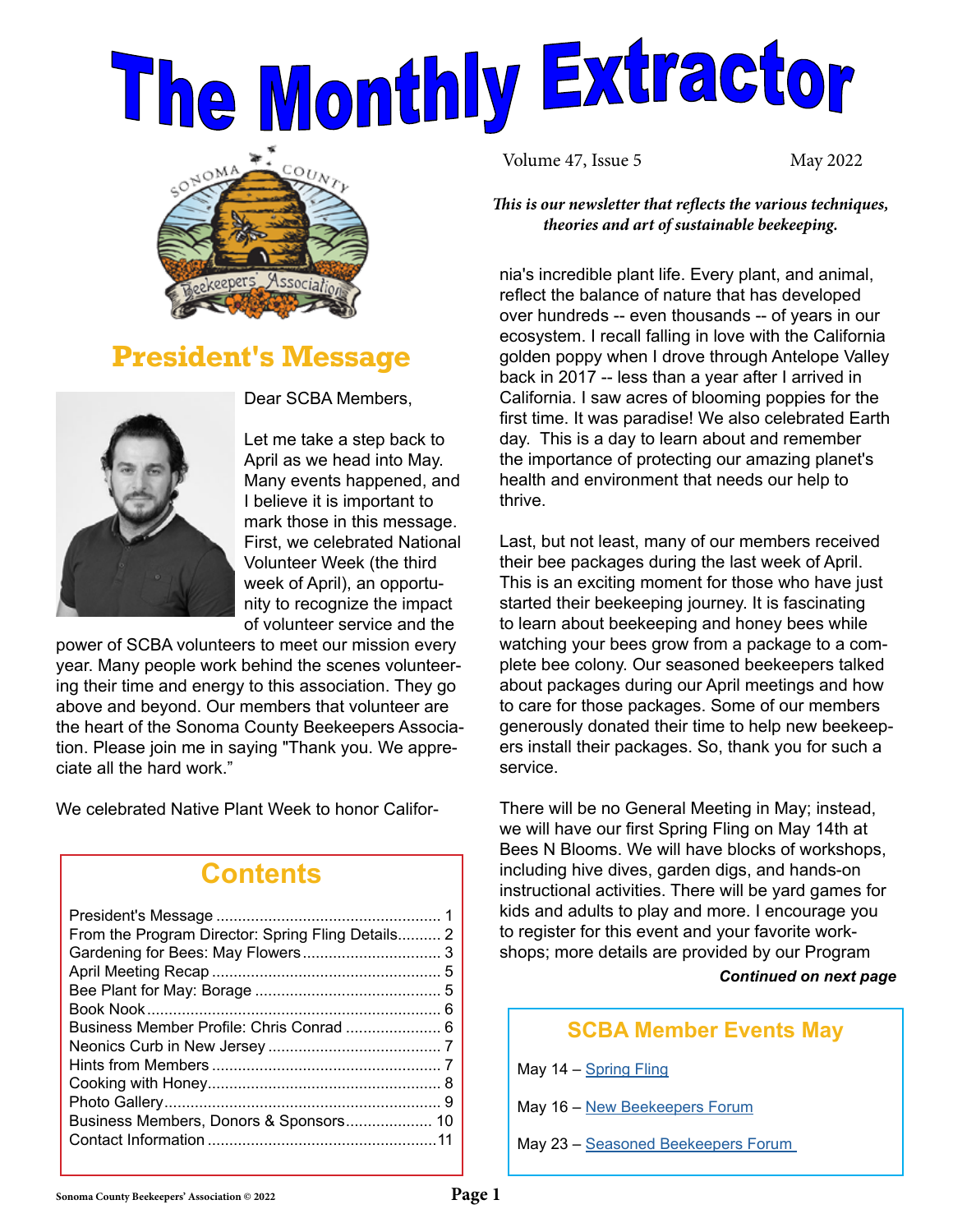# The Monthly Extractor



## **President's Message**



Dear SCBA Members,

Let me take a step back to April as we head into May. Many events happened, and I believe it is important to mark those in this message. First, we celebrated National Volunteer Week (the third week of April), an opportunity to recognize the impact of volunteer service and the

power of SCBA volunteers to meet our mission every year. Many people work behind the scenes volunteering their time and energy to this association. They go above and beyond. Our members that volunteer are the heart of the Sonoma County Beekeepers Association. Please join me in saying "Thank you. We appreciate all the hard work."

We celebrated Native Plant Week to honor Califor-

## **Contents**

| From the Program Director: Spring Fling Details 2 |  |
|---------------------------------------------------|--|
|                                                   |  |
|                                                   |  |
|                                                   |  |
|                                                   |  |
| Business Member Profile: Chris Conrad  6          |  |
|                                                   |  |
|                                                   |  |
|                                                   |  |
|                                                   |  |
|                                                   |  |
|                                                   |  |
|                                                   |  |

Volume 47, Issue 5 May 2022

*This is our newsletter that reflects the various techniques, theories and art of sustainable beekeeping.*

nia's incredible plant life. Every plant, and animal, reflect the balance of nature that has developed over hundreds -- even thousands -- of years in our ecosystem. I recall falling in love with the California golden poppy when I drove through Antelope Valley back in 2017 -- less than a year after I arrived in California. I saw acres of blooming poppies for the first time. It was paradise! We also celebrated Earth day. This is a day to learn about and remember the importance of protecting our amazing planet's health and environment that needs our help to thrive.

Last, but not least, many of our members received their bee packages during the last week of April. This is an exciting moment for those who have just started their beekeeping journey. It is fascinating to learn about beekeeping and honey bees while watching your bees grow from a package to a complete bee colony. Our seasoned beekeepers talked about packages during our April meetings and how to care for those packages. Some of our members generously donated their time to help new beekeepers install their packages. So, thank you for such a service.

There will be no General Meeting in May; instead, we will have our first Spring Fling on May 14th at Bees N Blooms. We will have blocks of workshops, including hive dives, garden digs, and hands-on instructional activities. There will be yard games for kids and adults to play and more. I encourage you to register for this event and your favorite workshops; more details are provided by our Program

*Continued on next page*

#### **SCBA Member Events May**

May 14 – [Spring Fling](https://www.sonomabees.org/event-4754398 )

May 16 – [New Beekeepers Forum](https://www.sonomabees.org/event-4600539 )

May 23 – Seasoned Beekeepers Forum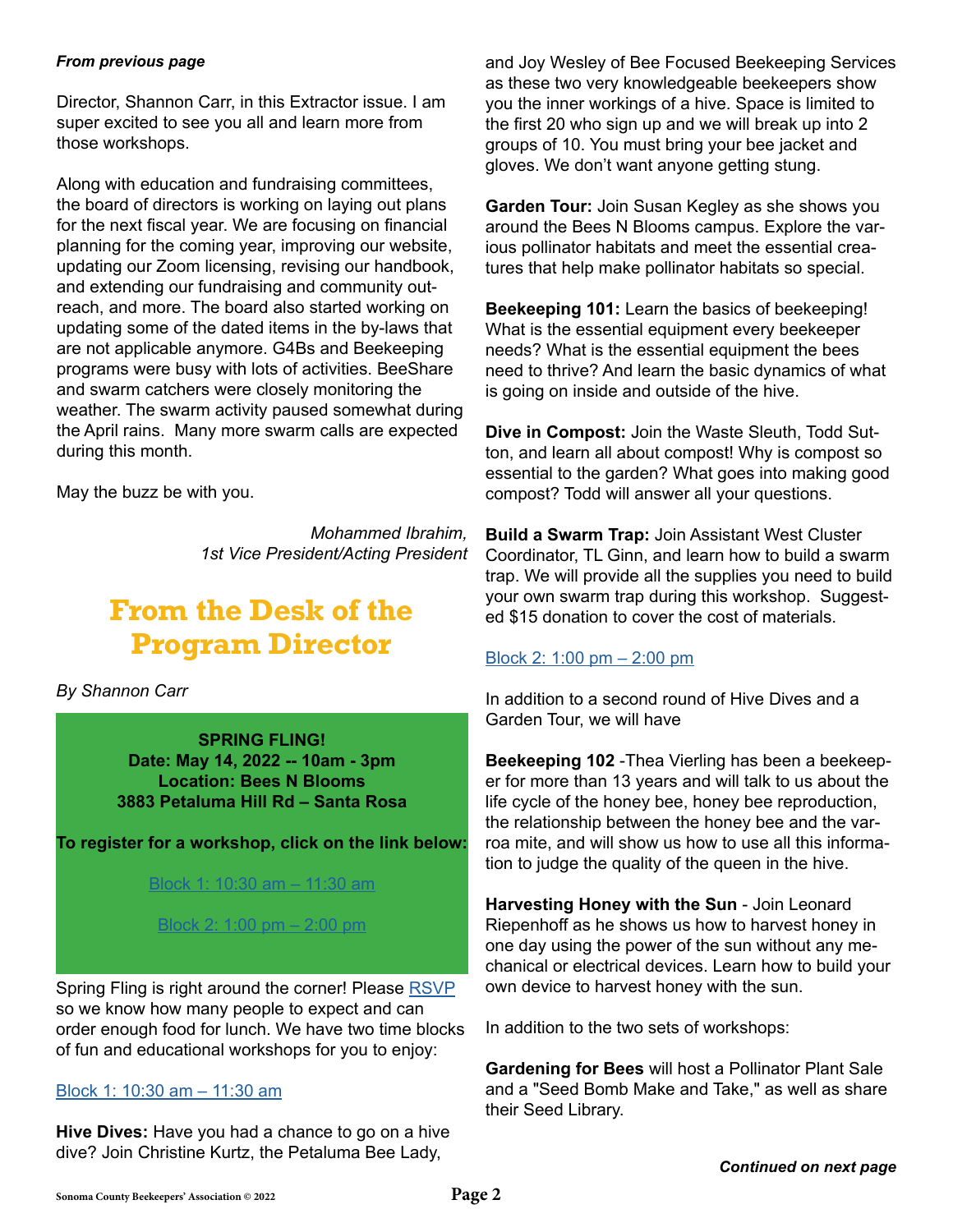#### *From previous page*

Director, Shannon Carr, in this Extractor issue. I am super excited to see you all and learn more from those workshops.

Along with education and fundraising committees, the board of directors is working on laying out plans for the next fiscal year. We are focusing on financial planning for the coming year, improving our website, updating our Zoom licensing, revising our handbook, and extending our fundraising and community outreach, and more. The board also started working on updating some of the dated items in the by-laws that are not applicable anymore. G4Bs and Beekeeping programs were busy with lots of activities. BeeShare and swarm catchers were closely monitoring the weather. The swarm activity paused somewhat during the April rains. Many more swarm calls are expected during this month.

May the buzz be with you.

*Mohammed Ibrahim, 1st Vice President/Acting President*

## **From the Desk of the Program Director**

*By Shannon Car[r](mailto:Programdirector%40sonomabees.org%20?subject=)*

**SPRING FLING! Date: May 14, 2022 -- 10am - 3pm Location: Bees N Blooms 3883 Petaluma Hill Rd – Santa Rosa**

**To register for a workshop, click on the link below:** 

#### [Block 1: 10:30 am – 11:30 am](https://www.sonomabees.org/event-4791352)

[Block 2: 1:00 pm – 2:00 pm](https://www.sonomabees.org/event-4792372)

Spring Fling is right around the corner! Please [RSVP](https://www.sonomabees.org/event-4754398) so we know how many people to expect and can order enough food for lunch. We have two time blocks of fun and educational workshops for you to enjoy:

[Block 1: 10:30 am – 11:30 am](https://www.sonomabees.org/event-4791352)

**Hive Dives:** Have you had a chance to go on a hive dive? Join Christine Kurtz, the Petaluma Bee Lady,

and Joy Wesley of Bee Focused Beekeeping Services as these two very knowledgeable beekeepers show you the inner workings of a hive. Space is limited to the first 20 who sign up and we will break up into 2 groups of 10. You must bring your bee jacket and gloves. We don't want anyone getting stung.

**Garden Tour:** Join Susan Kegley as she shows you around the Bees N Blooms campus. Explore the various pollinator habitats and meet the essential creatures that help make pollinator habitats so special.

**Beekeeping 101:** Learn the basics of beekeeping! What is the essential equipment every beekeeper needs? What is the essential equipment the bees need to thrive? And learn the basic dynamics of what is going on inside and outside of the hive.

**Dive in Compost:** Join the Waste Sleuth, Todd Sutton, and learn all about compost! Why is compost so essential to the garden? What goes into making good compost? Todd will answer all your questions.

**Build a Swarm Trap:** Join Assistant West Cluster Coordinator, TL Ginn, and learn how to build a swarm trap. We will provide all the supplies you need to build your own swarm trap during this workshop. Suggested \$15 donation to cover the cost of materials.

#### [Block 2: 1:00 pm – 2:00 pm](https://www.sonomabees.org/event-4792372)

In addition to a second round of Hive Dives and a Garden Tour, we will have

**Beekeeping 102** -Thea Vierling has been a beekeeper for more than 13 years and will talk to us about the life cycle of the honey bee, honey bee reproduction, the relationship between the honey bee and the varroa mite, and will show us how to use all this information to judge the quality of the queen in the hive.

**Harvesting Honey with the Sun** - Join Leonard Riepenhoff as he shows us how to harvest honey in one day using the power of the sun without any mechanical or electrical devices. Learn how to build your own device to harvest honey with the sun.

In addition to the two sets of workshops:

**Gardening for Bees** will host a Pollinator Plant Sale and a "Seed Bomb Make and Take," as well as share their Seed Library.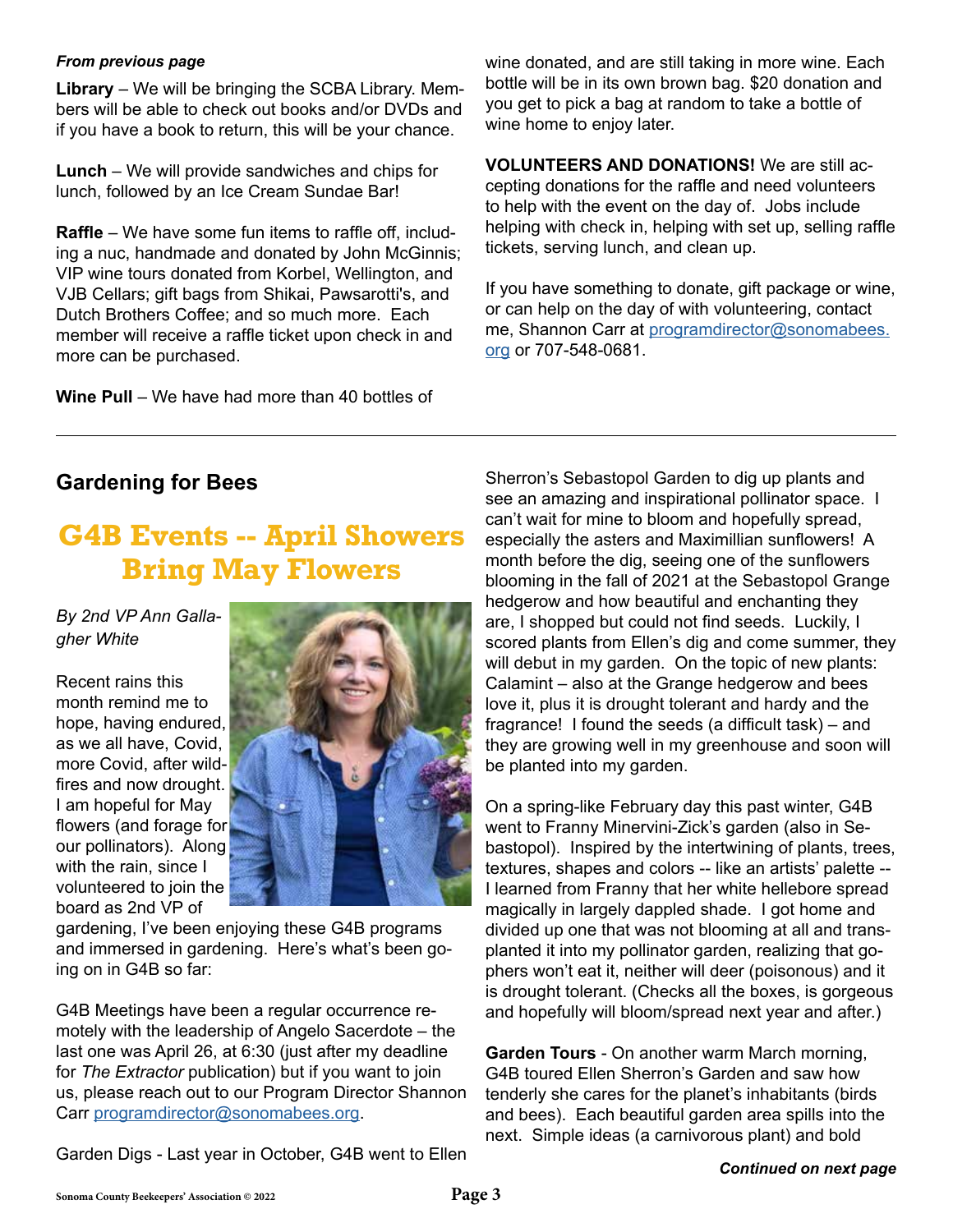**Library** – We will be bringing the SCBA Library. Members will be able to check out books and/or DVDs and if you have a book to return, this will be your chance.

**Lunch** – We will provide sandwiches and chips for lunch, followed by an Ice Cream Sundae Bar!

**Raffle** – We have some fun items to raffle off, including a nuc, handmade and donated by John McGinnis; VIP wine tours donated from Korbel, Wellington, and VJB Cellars; gift bags from Shikai, Pawsarotti's, and Dutch Brothers Coffee; and so much more. Each member will receive a raffle ticket upon check in and more can be purchased.

**Wine Pull** – We have had more than 40 bottles of

**From previous page** The state of the state wine donated, and are still taking in more wine. Each bottle will be in its own brown bag. \$20 donation and you get to pick a bag at random to take a bottle of wine home to enjoy later.

> **VOLUNTEERS AND DONATIONS!** We are still accepting donations for the raffle and need volunteers to help with the event on the day of. Jobs include helping with check in, helping with set up, selling raffle tickets, serving lunch, and clean up.

> If you have something to donate, gift package or wine, or can help on the day of with volunteering, contact me, Shannon Carr at [programdirector@sonomabees.](mailto:programdirector%40sonomabees.org?subject=) [org](mailto:programdirector%40sonomabees.org?subject=) or 707-548-0681.

#### **Gardening for Bees**

## **G4B Events -- April Showers Bring May Flowers**

*By 2nd VP Ann Gallagher White*

Recent rains this month remind me to hope, having endured, as we all have, Covid, more Covid, after wildfires and now drought. I am hopeful for May flowers (and forage for our pollinators). Along with the rain, since I volunteered to join the board as 2nd VP of



gardening, I've been enjoying these G4B programs and immersed in gardening. Here's what's been going on in G4B so far:

G4B Meetings have been a regular occurrence remotely with the leadership of Angelo Sacerdote – the last one was April 26, at 6:30 (just after my deadline for *The Extractor* publication) but if you want to join us, please reach out to our Program Director Shannon Carr [programdirector@sonomabees.org](mailto:programdirector%40sonomabees.org?subject=).

Garden Digs - Last year in October, G4B went to Ellen

Sherron's Sebastopol Garden to dig up plants and see an amazing and inspirational pollinator space. I can't wait for mine to bloom and hopefully spread, especially the asters and Maximillian sunflowers! A month before the dig, seeing one of the sunflowers blooming in the fall of 2021 at the Sebastopol Grange hedgerow and how beautiful and enchanting they are, I shopped but could not find seeds. Luckily, I scored plants from Ellen's dig and come summer, they will debut in my garden. On the topic of new plants: Calamint – also at the Grange hedgerow and bees love it, plus it is drought tolerant and hardy and the fragrance! I found the seeds (a difficult task) – and they are growing well in my greenhouse and soon will be planted into my garden.

On a spring-like February day this past winter, G4B went to Franny Minervini-Zick's garden (also in Sebastopol). Inspired by the intertwining of plants, trees, textures, shapes and colors -- like an artists' palette -- I learned from Franny that her white hellebore spread magically in largely dappled shade. I got home and divided up one that was not blooming at all and transplanted it into my pollinator garden, realizing that gophers won't eat it, neither will deer (poisonous) and it is drought tolerant. (Checks all the boxes, is gorgeous and hopefully will bloom/spread next year and after.)

**Garden Tours** - On another warm March morning, G4B toured Ellen Sherron's Garden and saw how tenderly she cares for the planet's inhabitants (birds and bees). Each beautiful garden area spills into the next. Simple ideas (a carnivorous plant) and bold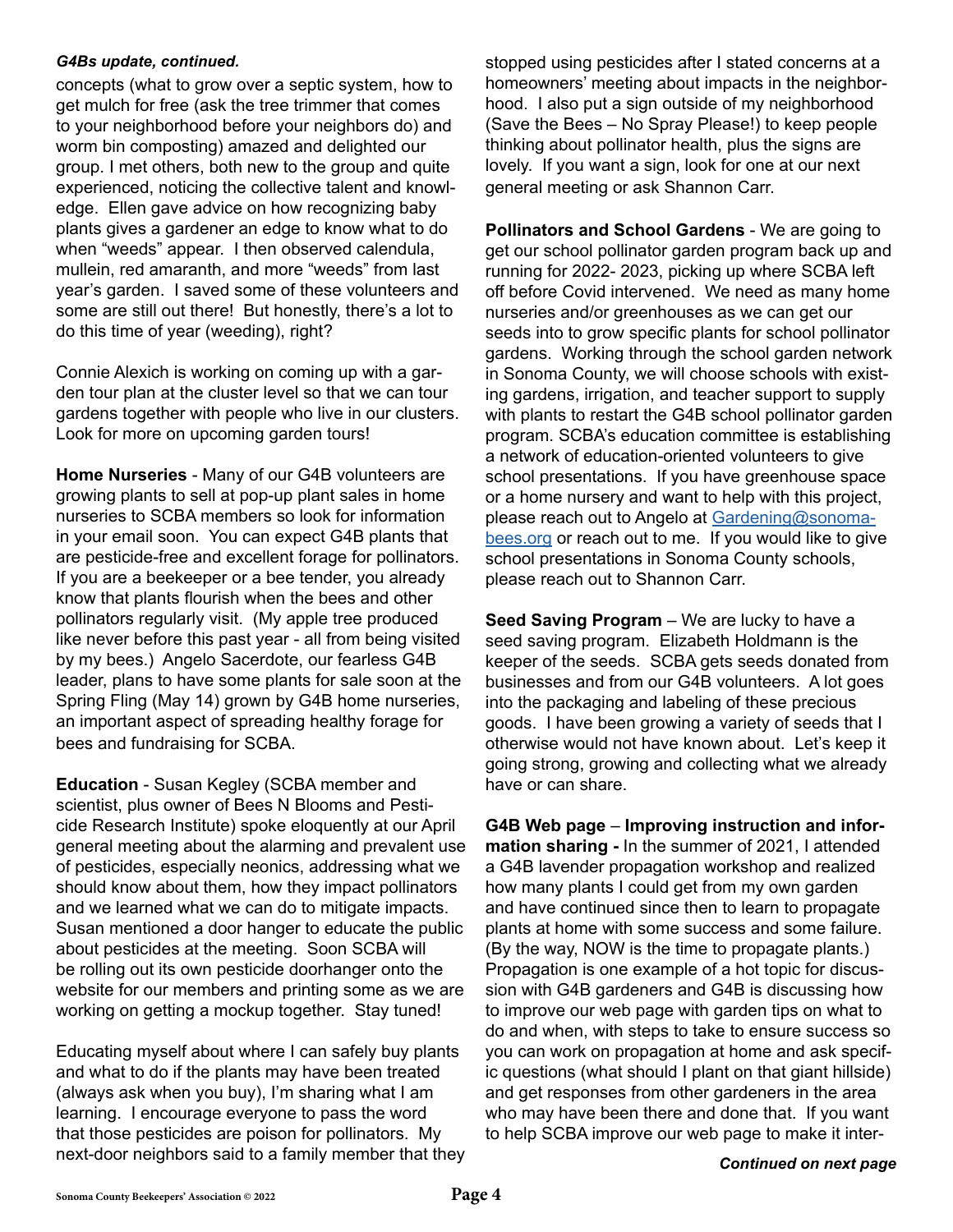#### *G4Bs update, continued.*

concepts (what to grow over a septic system, how to get mulch for free (ask the tree trimmer that comes to your neighborhood before your neighbors do) and worm bin composting) amazed and delighted our group. I met others, both new to the group and quite experienced, noticing the collective talent and knowledge. Ellen gave advice on how recognizing baby plants gives a gardener an edge to know what to do when "weeds" appear. I then observed calendula, mullein, red amaranth, and more "weeds" from last year's garden. I saved some of these volunteers and some are still out there! But honestly, there's a lot to do this time of year (weeding), right?

Connie Alexich is working on coming up with a garden tour plan at the cluster level so that we can tour gardens together with people who live in our clusters. Look for more on upcoming garden tours!

**Home Nurseries** - Many of our G4B volunteers are growing plants to sell at pop-up plant sales in home nurseries to SCBA members so look for information in your email soon. You can expect G4B plants that are pesticide-free and excellent forage for pollinators. If you are a beekeeper or a bee tender, you already know that plants flourish when the bees and other pollinators regularly visit. (My apple tree produced like never before this past year - all from being visited by my bees.) Angelo Sacerdote, our fearless G4B leader, plans to have some plants for sale soon at the Spring Fling (May 14) grown by G4B home nurseries, an important aspect of spreading healthy forage for bees and fundraising for SCBA.

**Education** - Susan Kegley (SCBA member and scientist, plus owner of Bees N Blooms and Pesticide Research Institute) spoke eloquently at our April general meeting about the alarming and prevalent use of pesticides, especially neonics, addressing what we should know about them, how they impact pollinators and we learned what we can do to mitigate impacts. Susan mentioned a door hanger to educate the public about pesticides at the meeting. Soon SCBA will be rolling out its own pesticide doorhanger onto the website for our members and printing some as we are working on getting a mockup together. Stay tuned!

Educating myself about where I can safely buy plants and what to do if the plants may have been treated (always ask when you buy), I'm sharing what I am learning. I encourage everyone to pass the word that those pesticides are poison for pollinators. My next-door neighbors said to a family member that they stopped using pesticides after I stated concerns at a homeowners' meeting about impacts in the neighborhood. I also put a sign outside of my neighborhood (Save the Bees – No Spray Please!) to keep people thinking about pollinator health, plus the signs are lovely. If you want a sign, look for one at our next general meeting or ask Shannon Carr.

**Pollinators and School Gardens** - We are going to get our school pollinator garden program back up and running for 2022- 2023, picking up where SCBA left off before Covid intervened. We need as many home nurseries and/or greenhouses as we can get our seeds into to grow specific plants for school pollinator gardens. Working through the school garden network in Sonoma County, we will choose schools with existing gardens, irrigation, and teacher support to supply with plants to restart the G4B school pollinator garden program. SCBA's education committee is establishing a network of education-oriented volunteers to give school presentations. If you have greenhouse space or a home nursery and want to help with this project, please reach out to Angelo at [Gardening@sonoma](mailto:Gardening%40sonomabees.org?subject=)[bees.org](mailto:Gardening%40sonomabees.org?subject=) or reach out to me. If you would like to give school presentations in Sonoma County schools, please reach out to Shannon Carr.

**Seed Saving Program** – We are lucky to have a seed saving program. Elizabeth Holdmann is the keeper of the seeds. SCBA gets seeds donated from businesses and from our G4B volunteers. A lot goes into the packaging and labeling of these precious goods. I have been growing a variety of seeds that I otherwise would not have known about. Let's keep it going strong, growing and collecting what we already have or can share.

**G4B Web page** – **Improving instruction and information sharing -** In the summer of 2021, I attended a G4B lavender propagation workshop and realized how many plants I could get from my own garden and have continued since then to learn to propagate plants at home with some success and some failure. (By the way, NOW is the time to propagate plants.) Propagation is one example of a hot topic for discussion with G4B gardeners and G4B is discussing how to improve our web page with garden tips on what to do and when, with steps to take to ensure success so you can work on propagation at home and ask specific questions (what should I plant on that giant hillside) and get responses from other gardeners in the area who may have been there and done that. If you want to help SCBA improve our web page to make it inter-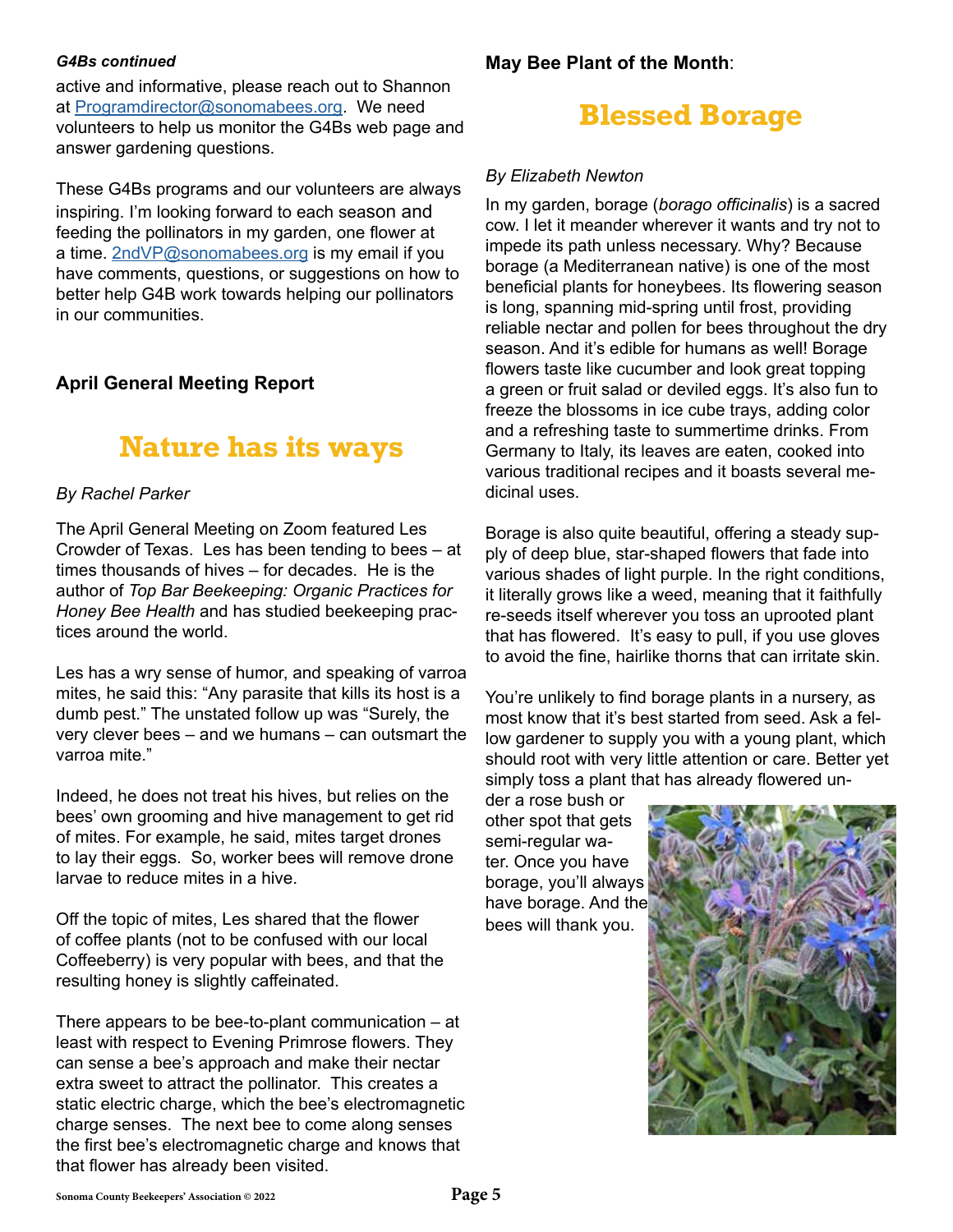#### *G4Bs continued*

active and informative, please reach out to Shannon at [Programdirector@sonomabees.org](mailto:Programdirector%40sonomabees.org?subject=). We need volunteers to help us monitor the G4Bs web page and answer gardening questions.

These G4Bs programs and our volunteers are always inspiring. I'm looking forward to each season and feeding the pollinators in my garden, one flower at a time. [2ndVP@sonomabees.org](mailto:2ndVP%40sonomabees.org?subject=) is my email if you have comments, questions, or suggestions on how to better help G4B work towards helping our pollinators in our communities.

#### **April General Meeting Report**

## **Nature has its ways**

#### *By Rachel Parker*

The April General Meeting on Zoom featured Les Crowder of Texas. Les has been tending to bees – at times thousands of hives – for decades. He is the author of *Top Bar Beekeeping: Organic Practices for Honey Bee Health* and has studied beekeeping practices around the world.

Les has a wry sense of humor, and speaking of varroa mites, he said this: "Any parasite that kills its host is a dumb pest." The unstated follow up was "Surely, the very clever bees – and we humans – can outsmart the varroa mite."

Indeed, he does not treat his hives, but relies on the bees' own grooming and hive management to get rid of mites. For example, he said, mites target drones to lay their eggs. So, worker bees will remove drone larvae to reduce mites in a hive.

Off the topic of mites, Les shared that the flower of coffee plants (not to be confused with our local Coffeeberry) is very popular with bees, and that the resulting honey is slightly caffeinated.

There appears to be bee-to-plant communication – at least with respect to Evening Primrose flowers. They can sense a bee's approach and make their nectar extra sweet to attract the pollinator. This creates a static electric charge, which the bee's electromagnetic charge senses. The next bee to come along senses the first bee's electromagnetic charge and knows that that flower has already been visited.

**May Bee Plant of the Month**:

## **Blessed Borage**

#### *By Elizabeth Newton*

In my garden, borage (*borago officinalis*) is a sacred cow. I let it meander wherever it wants and try not to impede its path unless necessary. Why? Because borage (a Mediterranean native) is one of the most beneficial plants for honeybees. Its flowering season is long, spanning mid-spring until frost, providing reliable nectar and pollen for bees throughout the dry season. And it's edible for humans as well! Borage flowers taste like cucumber and look great topping a green or fruit salad or deviled eggs. It's also fun to freeze the blossoms in ice cube trays, adding color and a refreshing taste to summertime drinks. From Germany to Italy, its leaves are eaten, cooked into various traditional recipes and it boasts several medicinal uses.

Borage is also quite beautiful, offering a steady supply of deep blue, star-shaped flowers that fade into various shades of light purple. In the right conditions, it literally grows like a weed, meaning that it faithfully re-seeds itself wherever you toss an uprooted plant that has flowered. It's easy to pull, if you use gloves to avoid the fine, hairlike thorns that can irritate skin.

You're unlikely to find borage plants in a nursery, as most know that it's best started from seed. Ask a fellow gardener to supply you with a young plant, which should root with very little attention or care. Better yet simply toss a plant that has already flowered un-

der a rose bush or other spot that gets semi-regular water. Once you have borage, you'll always have borage. And the bees will thank you.

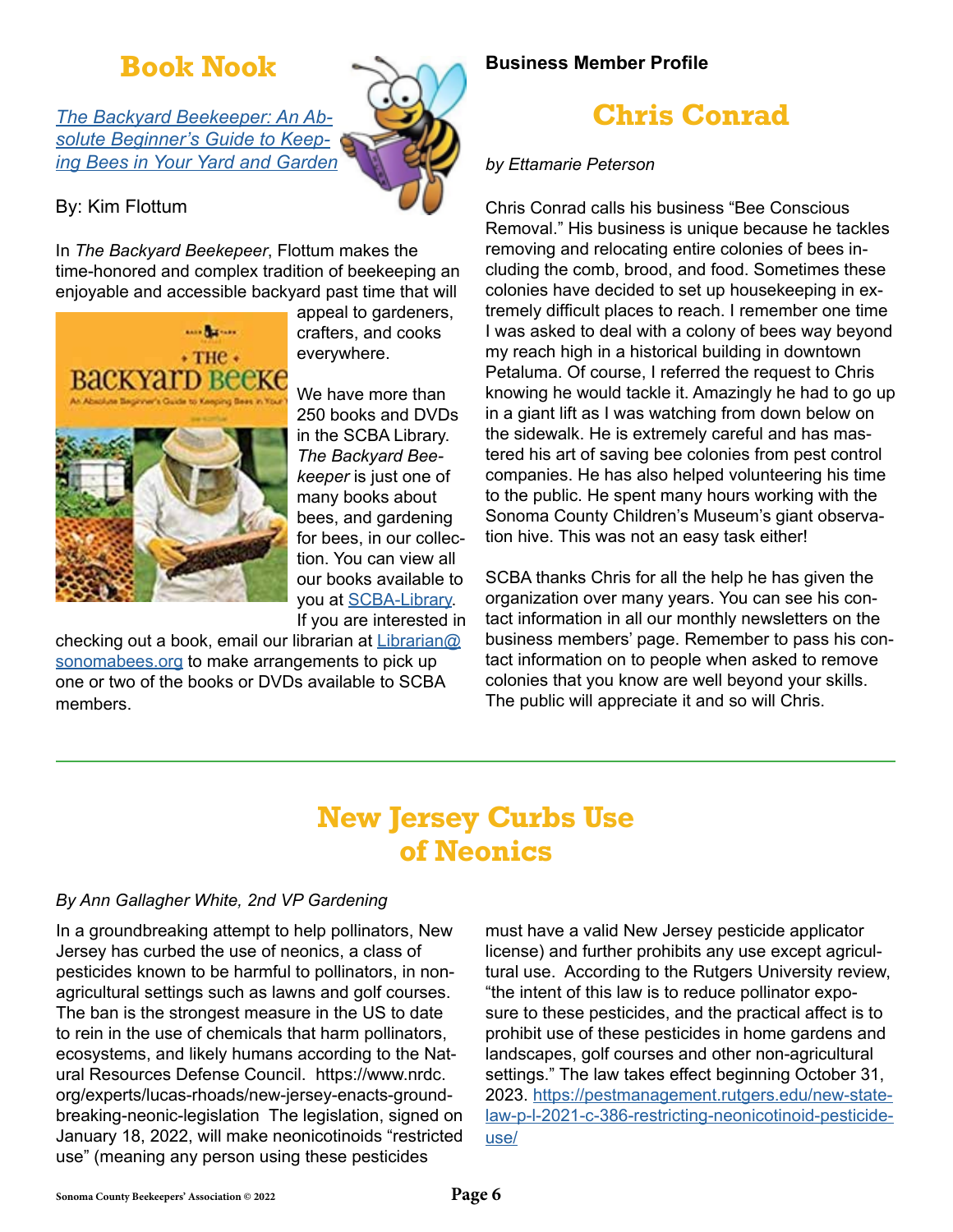## **Book Nook**

*[The Backyard Beekeeper: An Ab](https://www.librarycat.org/lib/SCBA-Library/item/203962986)[solute Beginner's Guide to Keep](https://www.librarycat.org/lib/SCBA-Library/item/203962986)[ing Bees in Your Yard and Garden](https://www.librarycat.org/lib/SCBA-Library/item/203962986)*

#### By: Kim Flottum

In *The Backyard Beekepeer*, Flottum makes the time-honored and complex tradition of beekeeping an enjoyable and accessible backyard past time that will



appeal to gardeners, crafters, and cooks everywhere.

We have more than 250 books and DVDs in the SCBA Library. *The Backyard Beekeeper* is just one of many books about bees, and gardening for bees, in our collection. You can view all our books available to you at [SCBA-Library](https://www.librarycat.org/lib/SCBA-Library). If you are interested in

checking out a book, email our librarian at [Librarian@](mailto:Librarian%40sonomabees.org?subject=) [sonomabees.org](mailto:Librarian%40sonomabees.org?subject=) to make arrangements to pick up one or two of the books or DVDs available to SCBA members.

#### **Business Member Profile**

## **Chris Conrad**

#### *by Ettamarie Peterson*

Chris Conrad calls his business "Bee Conscious Removal." His business is unique because he tackles removing and relocating entire colonies of bees including the comb, brood, and food. Sometimes these colonies have decided to set up housekeeping in extremely difficult places to reach. I remember one time I was asked to deal with a colony of bees way beyond my reach high in a historical building in downtown Petaluma. Of course, I referred the request to Chris knowing he would tackle it. Amazingly he had to go up in a giant lift as I was watching from down below on the sidewalk. He is extremely careful and has mastered his art of saving bee colonies from pest control companies. He has also helped volunteering his time to the public. He spent many hours working with the Sonoma County Children's Museum's giant observation hive. This was not an easy task either!

SCBA thanks Chris for all the help he has given the organization over many years. You can see his contact information in all our monthly newsletters on the business members' page. Remember to pass his contact information on to people when asked to remove colonies that you know are well beyond your skills. The public will appreciate it and so will Chris.

## **New Jersey Curbs Use of Neonics**

#### *By Ann Gallagher White, 2nd VP Gardening*

In a groundbreaking attempt to help pollinators, New Jersey has curbed the use of neonics, a class of pesticides known to be harmful to pollinators, in nonagricultural settings such as lawns and golf courses. The ban is the strongest measure in the US to date to rein in the use of chemicals that harm pollinators, ecosystems, and likely humans according to the Natural Resources Defense Council. https://www.nrdc. org/experts/lucas-rhoads/new-jersey-enacts-groundbreaking-neonic-legislation The legislation, signed on January 18, 2022, will make neonicotinoids "restricted use" (meaning any person using these pesticides

must have a valid New Jersey pesticide applicator license) and further prohibits any use except agricultural use. According to the Rutgers University review, "the intent of this law is to reduce pollinator exposure to these pesticides, and the practical affect is to prohibit use of these pesticides in home gardens and landscapes, golf courses and other non-agricultural settings." The law takes effect beginning October 31, 2023. [https://pestmanagement.rutgers.edu/new-state](https://pestmanagement.rutgers.edu/new-state-law-p-l-2021-c-386-restricting-neonicotinoid-pesticide-)[law-p-l-2021-c-386-restricting-neonicotinoid-pesticide](https://pestmanagement.rutgers.edu/new-state-law-p-l-2021-c-386-restricting-neonicotinoid-pesticide-)[use/](https://pestmanagement.rutgers.edu/new-state-law-p-l-2021-c-386-restricting-neonicotinoid-pesticide-)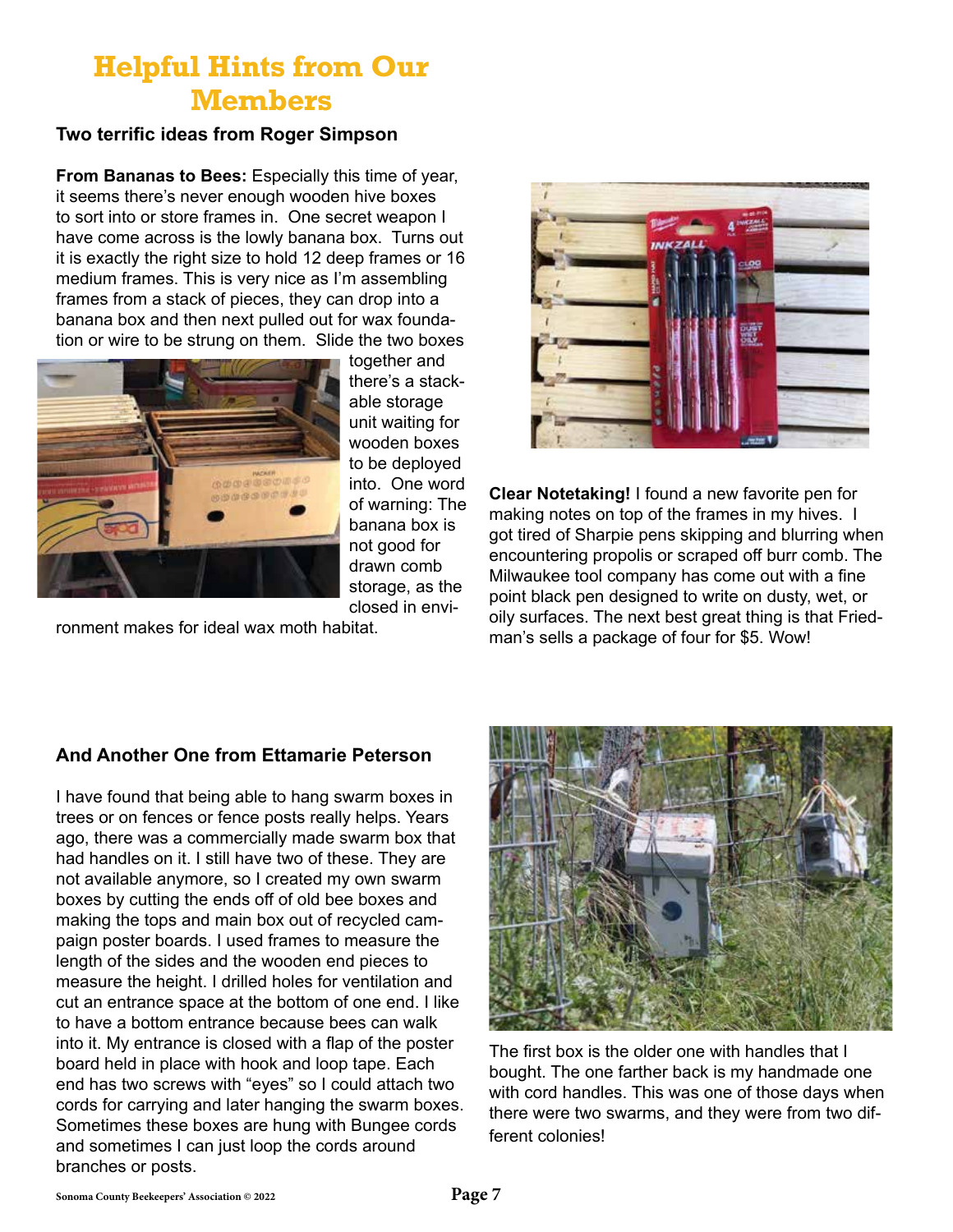## **Helpful Hints from Our Members**

#### **Two terrific ideas from Roger Simpson**

**From Bananas to Bees:** Especially this time of year, it seems there's never enough wooden hive boxes to sort into or store frames in. One secret weapon I have come across is the lowly banana box. Turns out it is exactly the right size to hold 12 deep frames or 16 medium frames. This is very nice as I'm assembling frames from a stack of pieces, they can drop into a banana box and then next pulled out for wax foundation or wire to be strung on them. Slide the two boxes



together and there's a stackable storage unit waiting for wooden boxes to be deployed into. One word of warning: The banana box is not good for drawn comb storage, as the closed in envi-

ronment makes for ideal wax moth habitat.



**Clear Notetaking!** I found a new favorite pen for making notes on top of the frames in my hives. I got tired of Sharpie pens skipping and blurring when encountering propolis or scraped off burr comb. The Milwaukee tool company has come out with a fine point black pen designed to write on dusty, wet, or oily surfaces. The next best great thing is that Friedman's sells a package of four for \$5. Wow!

#### **And Another One from Ettamarie Peterson**

I have found that being able to hang swarm boxes in trees or on fences or fence posts really helps. Years ago, there was a commercially made swarm box that had handles on it. I still have two of these. They are not available anymore, so I created my own swarm boxes by cutting the ends off of old bee boxes and making the tops and main box out of recycled campaign poster boards. I used frames to measure the length of the sides and the wooden end pieces to measure the height. I drilled holes for ventilation and cut an entrance space at the bottom of one end. I like to have a bottom entrance because bees can walk into it. My entrance is closed with a flap of the poster board held in place with hook and loop tape. Each end has two screws with "eyes" so I could attach two cords for carrying and later hanging the swarm boxes. Sometimes these boxes are hung with Bungee cords and sometimes I can just loop the cords around branches or posts.



The first box is the older one with handles that I bought. The one farther back is my handmade one with cord handles. This was one of those days when there were two swarms, and they were from two different colonies!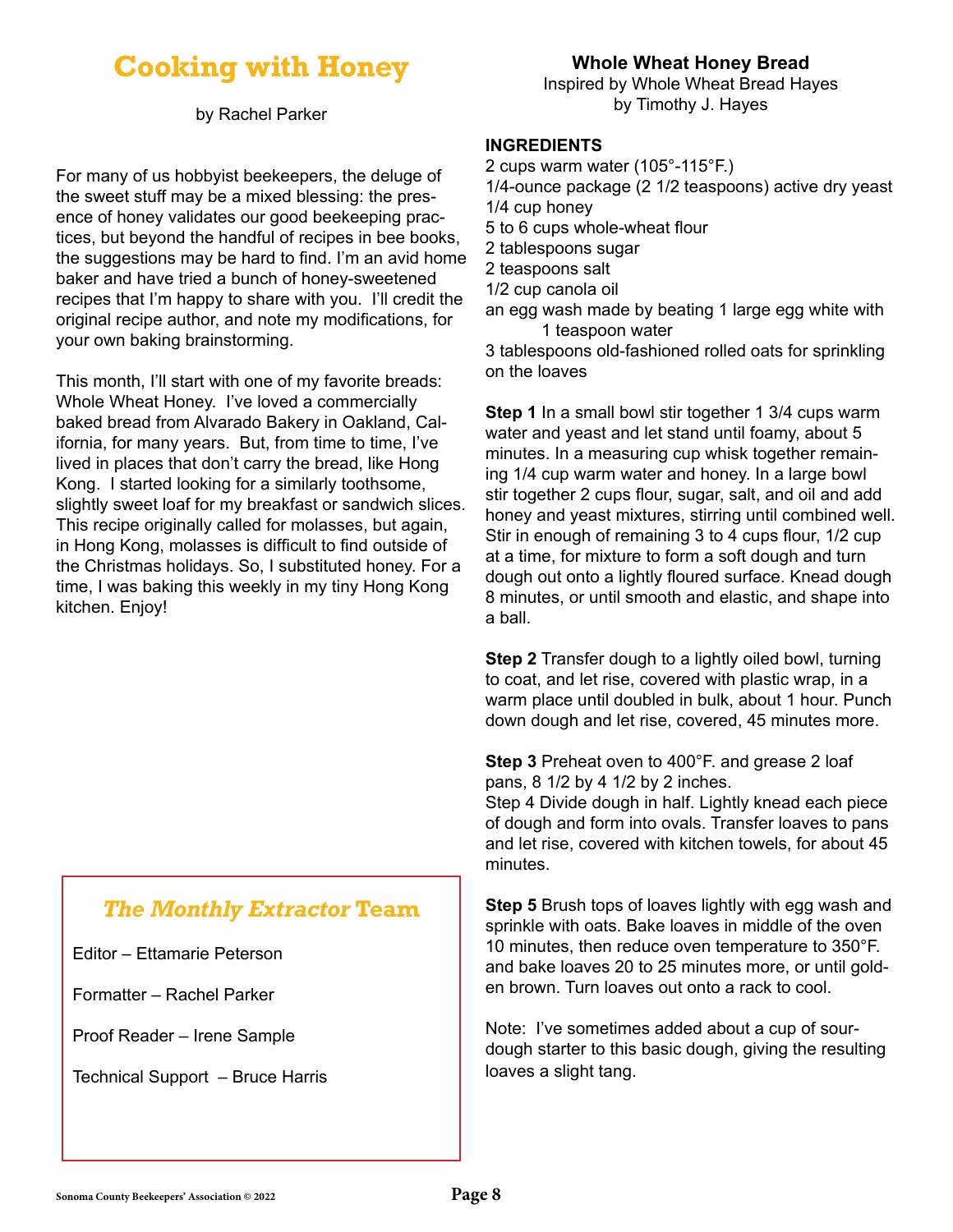## **Cooking with Honey**

by Rachel Parker

For many of us hobbyist beekeepers, the deluge of the sweet stuff may be a mixed blessing: the presence of honey validates our good beekeeping practices, but beyond the handful of recipes in bee books, the suggestions may be hard to find. I'm an avid home baker and have tried a bunch of honey-sweetened recipes that I'm happy to share with you. I'll credit the original recipe author, and note my modifications, for your own baking brainstorming.

This month, I'll start with one of my favorite breads: Whole Wheat Honey. I've loved a commercially baked bread from Alvarado Bakery in Oakland, California, for many years. But, from time to time, I've lived in places that don't carry the bread, like Hong Kong. I started looking for a similarly toothsome, slightly sweet loaf for my breakfast or sandwich slices. This recipe originally called for molasses, but again, in Hong Kong, molasses is difficult to find outside of the Christmas holidays. So, I substituted honey. For a time, I was baking this weekly in my tiny Hong Kong kitchen. Enjoy!

## *The Monthly Extractor* **Team**

Editor – Ettamarie Peterson

Formatter – Rachel Parker

Proof Reader – Irene Sample

Technical Support – Bruce Harris

#### **Whole Wheat Honey Bread**

Inspired by Whole Wheat Bread Hayes by Timothy J. Hayes

#### **INGREDIENTS**

2 cups warm water (105°-115°F.) 1/4-ounce package (2 1/2 teaspoons) active dry yeast 1/4 cup honey 5 to 6 cups whole-wheat flour 2 tablespoons sugar 2 teaspoons salt 1/2 cup canola oil an egg wash made by beating 1 large egg white with 1 teaspoon water

3 tablespoons old-fashioned rolled oats for sprinkling on the loaves

**Step 1** In a small bowl stir together 1 3/4 cups warm water and yeast and let stand until foamy, about 5 minutes. In a measuring cup whisk together remaining 1/4 cup warm water and honey. In a large bowl stir together 2 cups flour, sugar, salt, and oil and add honey and yeast mixtures, stirring until combined well. Stir in enough of remaining 3 to 4 cups flour, 1/2 cup at a time, for mixture to form a soft dough and turn dough out onto a lightly floured surface. Knead dough 8 minutes, or until smooth and elastic, and shape into a ball.

**Step 2** Transfer dough to a lightly oiled bowl, turning to coat, and let rise, covered with plastic wrap, in a warm place until doubled in bulk, about 1 hour. Punch down dough and let rise, covered, 45 minutes more.

**Step 3** Preheat oven to 400°F. and grease 2 loaf pans, 8 1/2 by 4 1/2 by 2 inches.

Step 4 Divide dough in half. Lightly knead each piece of dough and form into ovals. Transfer loaves to pans and let rise, covered with kitchen towels, for about 45 minutes.

**Step 5** Brush tops of loaves lightly with egg wash and sprinkle with oats. Bake loaves in middle of the oven 10 minutes, then reduce oven temperature to 350°F. and bake loaves 20 to 25 minutes more, or until golden brown. Turn loaves out onto a rack to cool.

Note: I've sometimes added about a cup of sourdough starter to this basic dough, giving the resulting loaves a slight tang.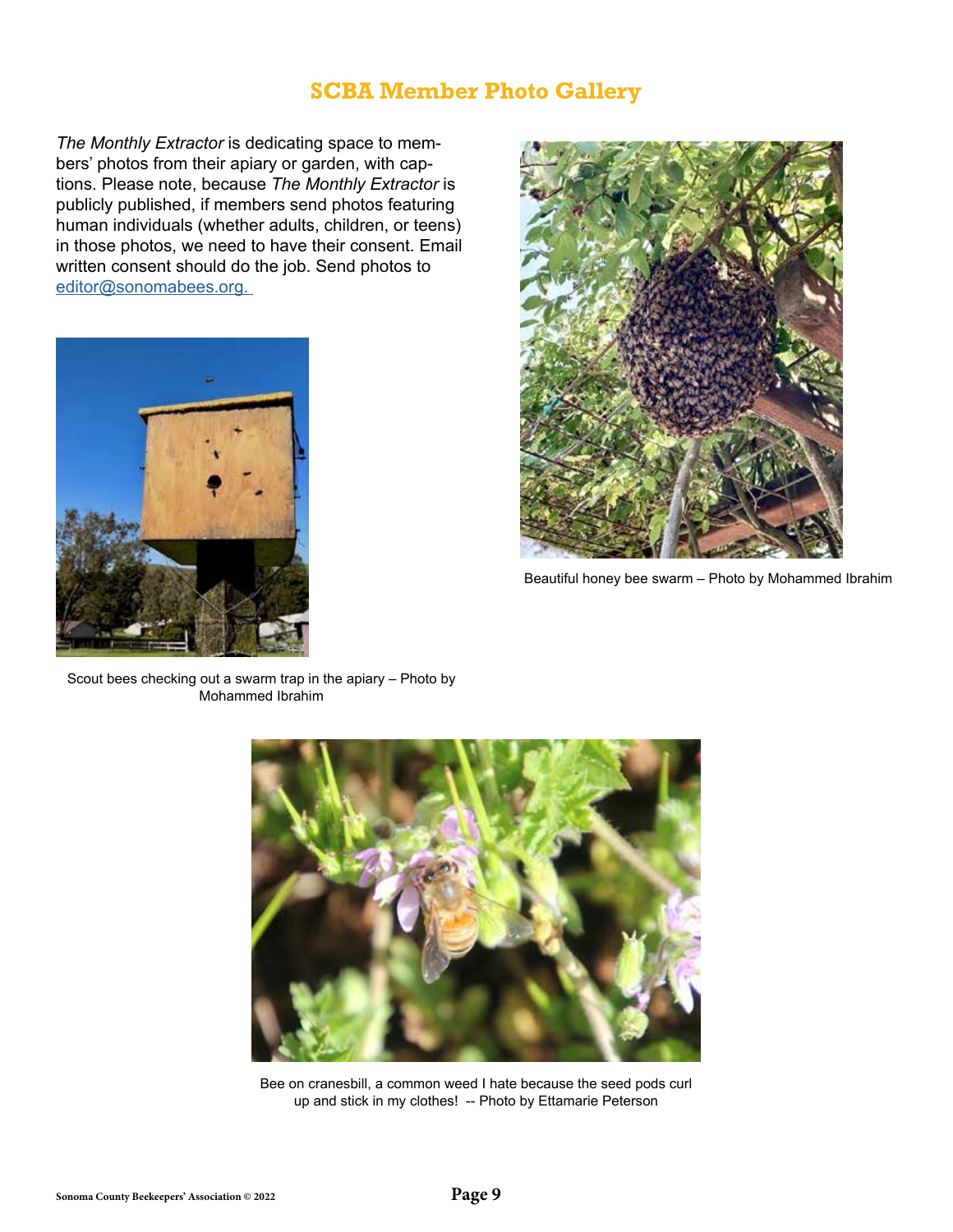### **SCBA Member Photo Gallery**

*The Monthly Extractor* is dedicating space to members' photos from their apiary or garden, with captions. Please note, because *The Monthly Extractor* is publicly published, if members send photos featuring human individuals (whether adults, children, or teens) in those photos, we need to have their consent. Email written consent should do the job. Send photos to [editor@sonomabees.org.](mailto:editor%40sonomabees.org.%20?subject=) 





Beautiful honey bee swarm – Photo by Mohammed Ibrahim

Scout bees checking out a swarm trap in the apiary – Photo by Mohammed Ibrahim



Bee on cranesbill, a common weed I hate because the seed pods curl up and stick in my clothes! -- Photo by Ettamarie Peterson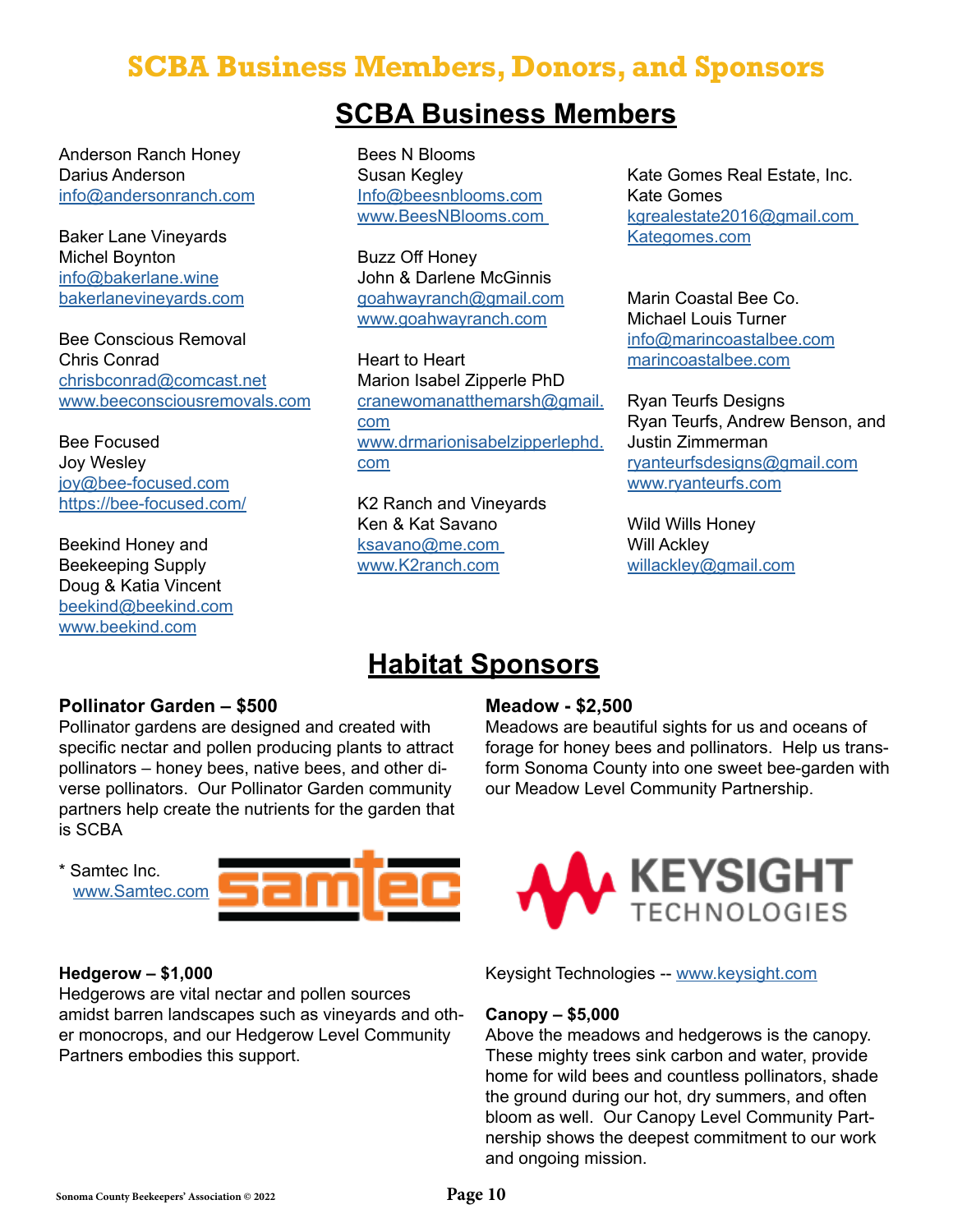## **SCBA Business Members, Donors, and Sponsors**

## **SCBA Business Members**

Anderson Ranch Honey Darius Anderson info@andersonranch.com

Baker Lane Vineyards Michel Boynton info@bakerlane.wine bakerlanevineyards.com

Bee Conscious Removal Chris Conrad chrisbconrad@comcast.net www.beeconsciousremovals.com

Bee Focused Joy Wesley joy@bee-focused.com https://bee-focused.com/

Beekind Honey and Beekeeping Supply Doug & Katia Vincent beekind@beekind.com www.beekind.com

Bees N Blooms Susan Kegley Info@beesnblooms.com www.BeesNBlooms.com

Buzz Off Honey John & Darlene McGinnis goahwayranch@gmail.com www.goahwayranch.com

Heart to Heart Marion Isabel Zipperle PhD [cranewomanatthemarsh@gmail.](mailto:cranewomanatthemarsh%40gmail.com?subject=) [com](mailto:cranewomanatthemarsh%40gmail.com?subject=) [www.drmarionisabelzipperlephd.](http://www.drmarionisabelzipperlephd.com) [com](http://www.drmarionisabelzipperlephd.com)

K2 Ranch and Vineyards Ken & Kat Savano ksavano@me.com www.K2ranch.com

Kate Gomes Real Estate, Inc. Kate Gomes kgrealestate2016@gmail.com Kategomes.com

Marin Coastal Bee Co. Michael Louis Turner info@marincoastalbee.com marincoastalbee.com

Ryan Teurfs Designs Ryan Teurfs, Andrew Benson, and Justin Zimmerman [ryanteurfsdesigns@gmail.com](mailto:ryanteurfsdesigns%40gmail.com?subject=) [www.ryanteurfs.com](http://www.ryanteurfs.com)

Wild Wills Honey Will Ackley [willackley@gmail.com](mailto:willackley%40gmail.com?subject=)

## **Habitat Sponsors**

#### **Pollinator Garden – \$500**

Pollinator gardens are designed and created with specific nectar and pollen producing plants to attract pollinators – honey bees, native bees, and other diverse pollinators. Our Pollinator Garden community partners help create the nutrients for the garden that is SCBA

\* Samtec Inc. www.Samtec.com



#### **Hedgerow – \$1,000**

Hedgerows are vital nectar and pollen sources amidst barren landscapes such as vineyards and other monocrops, and our Hedgerow Level Community Partners embodies this support.

#### **Meadow - \$2,500**

Meadows are beautiful sights for us and oceans of forage for honey bees and pollinators. Help us transform Sonoma County into one sweet bee-garden with our Meadow Level Community Partnership.



Keysight Technologies -- [www.keysight.com](http://www.keysight.com)

#### **Canopy – \$5,000**

Above the meadows and hedgerows is the canopy. These mighty trees sink carbon and water, provide home for wild bees and countless pollinators, shade the ground during our hot, dry summers, and often bloom as well. Our Canopy Level Community Partnership shows the deepest commitment to our work and ongoing mission.